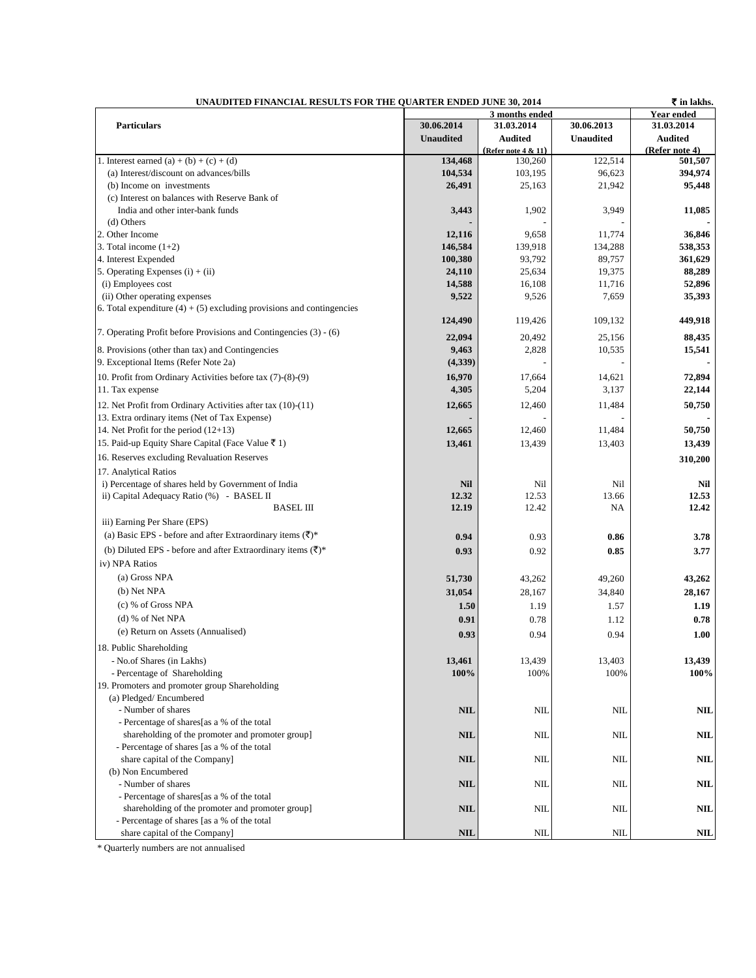| ₹ in lakhs.<br>UNAUDITED FINANCIAL RESULTS FOR THE QUARTER ENDED JUNE 30, 2014    |                  |                        |                  |                |  |  |
|-----------------------------------------------------------------------------------|------------------|------------------------|------------------|----------------|--|--|
|                                                                                   | 3 months ended   |                        |                  | Year ended     |  |  |
| <b>Particulars</b>                                                                | 30.06.2014       | 31.03.2014             | 30.06.2013       | 31.03.2014     |  |  |
|                                                                                   | <b>Unaudited</b> | <b>Audited</b>         | <b>Unaudited</b> | <b>Audited</b> |  |  |
|                                                                                   |                  | (Refer note $4 & 11$ ) |                  | (Refer note 4) |  |  |
| 1. Interest earned $(a) + (b) + (c) + (d)$                                        | 134,468          | 130,260                | 122,514          | 501,507        |  |  |
| (a) Interest/discount on advances/bills                                           | 104,534          | 103,195                | 96.623           | 394,974        |  |  |
| (b) Income on investments                                                         | 26,491           | 25,163                 | 21,942           | 95,448         |  |  |
| (c) Interest on balances with Reserve Bank of<br>India and other inter-bank funds | 3,443            | 1,902                  | 3,949            | 11,085         |  |  |
| (d) Others                                                                        |                  |                        |                  |                |  |  |
| 2. Other Income                                                                   | 12,116           | 9,658                  | 11,774           | 36,846         |  |  |
| 3. Total income $(1+2)$                                                           | 146,584          | 139,918                | 134,288          | 538,353        |  |  |
| 4. Interest Expended                                                              | 100,380          | 93,792                 | 89,757           | 361,629        |  |  |
| 5. Operating Expenses $(i) + (ii)$                                                | 24,110           | 25,634                 | 19,375           | 88,289         |  |  |
| (i) Employees cost                                                                | 14,588           | 16,108                 | 11,716           | 52,896         |  |  |
| (ii) Other operating expenses                                                     | 9,522            | 9,526                  | 7,659            | 35,393         |  |  |
| 6. Total expenditure $(4) + (5)$ excluding provisions and contingencies           |                  |                        |                  |                |  |  |
|                                                                                   | 124,490          | 119,426                | 109,132          | 449,918        |  |  |
| 7. Operating Profit before Provisions and Contingencies (3) - (6)                 | 22,094           | 20,492                 | 25,156           | 88,435         |  |  |
| 8. Provisions (other than tax) and Contingencies                                  | 9,463            | 2,828                  | 10,535           | 15,541         |  |  |
| 9. Exceptional Items (Refer Note 2a)                                              | (4,339)          |                        |                  |                |  |  |
|                                                                                   |                  |                        |                  | 72,894         |  |  |
| 10. Profit from Ordinary Activities before tax (7)-(8)-(9)                        | 16,970<br>4,305  | 17,664<br>5,204        | 14,621<br>3,137  | 22,144         |  |  |
| 11. Tax expense                                                                   |                  |                        |                  |                |  |  |
| 12. Net Profit from Ordinary Activities after tax (10)-(11)                       | 12,665           | 12,460                 | 11,484           | 50,750         |  |  |
| 13. Extra ordinary items (Net of Tax Expense)                                     |                  |                        |                  |                |  |  |
| 14. Net Profit for the period $(12+13)$                                           | 12,665           | 12,460                 | 11,484           | 50,750         |  |  |
| 15. Paid-up Equity Share Capital (Face Value ₹ 1)                                 | 13,461           | 13,439                 | 13,403           | 13,439         |  |  |
| 16. Reserves excluding Revaluation Reserves                                       |                  |                        |                  | 310,200        |  |  |
| 17. Analytical Ratios                                                             |                  |                        |                  |                |  |  |
| i) Percentage of shares held by Government of India                               | <b>Nil</b>       | Nil                    | Ni1              | Nil            |  |  |
| ii) Capital Adequacy Ratio (%) - BASEL II                                         | 12.32            | 12.53                  | 13.66            | 12.53          |  |  |
| <b>BASEL III</b>                                                                  | 12.19            | 12.42                  | NA               | 12.42          |  |  |
| iii) Earning Per Share (EPS)                                                      |                  |                        |                  |                |  |  |
| (a) Basic EPS - before and after Extraordinary items $(\overline{\tau})^*$        | 0.94             | 0.93                   | 0.86             | 3.78           |  |  |
| (b) Diluted EPS - before and after Extraordinary items $(\overline{\zeta})^*$     | 0.93             | 0.92                   | 0.85             | 3.77           |  |  |
| iv) NPA Ratios                                                                    |                  |                        |                  |                |  |  |
| (a) Gross NPA                                                                     | 51,730           | 43,262                 | 49,260           | 43,262         |  |  |
| (b) Net NPA                                                                       | 31,054           | 28,167                 | 34,840           | 28,167         |  |  |
| $(c)$ % of Gross NPA                                                              | 1.50             | 1.19                   | 1.57             | 1.19           |  |  |
| $(d)$ % of Net NPA                                                                | 0.91             | 0.78                   | 1.12             | 0.78           |  |  |
| (e) Return on Assets (Annualised)                                                 | 0.93             |                        | 0.94             | 1.00           |  |  |
|                                                                                   |                  | 0.94                   |                  |                |  |  |
| 18. Public Shareholding                                                           |                  | 13,439                 | 13,403           |                |  |  |
| - No.of Shares (in Lakhs)<br>- Percentage of Shareholding                         | 13,461<br>100%   | 100%                   | 100%             | 13,439<br>100% |  |  |
| 19. Promoters and promoter group Shareholding                                     |                  |                        |                  |                |  |  |
| (a) Pledged/Encumbered                                                            |                  |                        |                  |                |  |  |
| - Number of shares                                                                | <b>NIL</b>       | <b>NIL</b>             | <b>NIL</b>       | <b>NIL</b>     |  |  |
| - Percentage of shares[as a % of the total                                        |                  |                        |                  |                |  |  |
| shareholding of the promoter and promoter group]                                  | <b>NIL</b>       | NIL                    | NIL              | NIL            |  |  |
| - Percentage of shares [as a % of the total                                       |                  |                        |                  |                |  |  |
| share capital of the Company]                                                     | <b>NIL</b>       | NIL                    | NIL              | NIL            |  |  |
| (b) Non Encumbered                                                                |                  |                        |                  |                |  |  |
| - Number of shares                                                                | <b>NIL</b>       | NIL                    | NIL              | <b>NIL</b>     |  |  |
| - Percentage of shares[as a % of the total                                        |                  |                        |                  |                |  |  |
| shareholding of the promoter and promoter group]                                  | <b>NIL</b>       | NIL                    | NIL              | NIL            |  |  |
| - Percentage of shares [as a % of the total                                       |                  |                        |                  |                |  |  |
| share capital of the Company]                                                     | <b>NIL</b>       | NIL                    | <b>NIL</b>       | NIL            |  |  |

\* Quarterly numbers are not annualised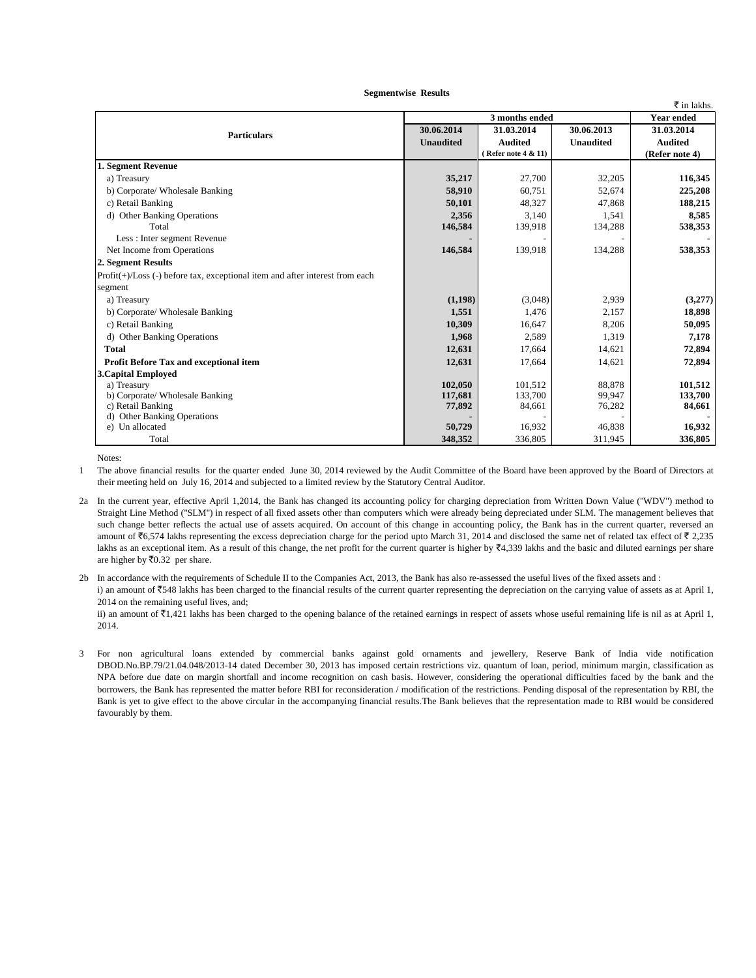|                                                                              |                  |                     |                  | $\bar{\tau}$ in lakhs. |
|------------------------------------------------------------------------------|------------------|---------------------|------------------|------------------------|
|                                                                              | 3 months ended   |                     |                  | <b>Year ended</b>      |
|                                                                              | 30.06.2014       | 31.03.2014          | 30.06.2013       | 31.03.2014             |
| <b>Particulars</b>                                                           | <b>Unaudited</b> | <b>Audited</b>      | <b>Unaudited</b> | <b>Audited</b>         |
|                                                                              |                  | (Refer note 4 & 11) |                  | (Refer note 4)         |
| 1. Segment Revenue                                                           |                  |                     |                  |                        |
| a) Treasury                                                                  | 35,217           | 27,700              | 32,205           | 116,345                |
| b) Corporate/ Wholesale Banking                                              | 58,910           | 60,751              | 52,674           | 225,208                |
| c) Retail Banking                                                            | 50,101           | 48,327              | 47,868           | 188,215                |
| d) Other Banking Operations                                                  | 2,356            | 3,140               | 1,541            | 8,585                  |
| Total                                                                        | 146,584          | 139,918             | 134,288          | 538,353                |
| Less : Inter segment Revenue                                                 |                  |                     |                  |                        |
| Net Income from Operations                                                   | 146,584          | 139,918             | 134,288          | 538,353                |
| 2. Segment Results                                                           |                  |                     |                  |                        |
| Profit(+)/Loss (-) before tax, exceptional item and after interest from each |                  |                     |                  |                        |
| segment                                                                      |                  |                     |                  |                        |
| a) Treasury                                                                  | (1,198)          | (3,048)             | 2,939            | (3,277)                |
| b) Corporate/ Wholesale Banking                                              | 1,551            | 1,476               | 2,157            | 18,898                 |
| c) Retail Banking                                                            | 10,309           | 16,647              | 8.206            | 50,095                 |
| d) Other Banking Operations                                                  | 1,968            | 2,589               | 1,319            | 7,178                  |
| <b>Total</b>                                                                 | 12,631           | 17,664              | 14,621           | 72,894                 |
| Profit Before Tax and exceptional item                                       | 12,631           | 17,664              | 14,621           | 72,894                 |
| <b>3. Capital Employed</b>                                                   |                  |                     |                  |                        |
| a) Treasury                                                                  | 102,050          | 101,512             | 88,878           | 101,512                |
| b) Corporate/ Wholesale Banking                                              | 117,681          | 133,700             | 99,947           | 133,700                |
| c) Retail Banking                                                            | 77,892           | 84,661              | 76,282           | 84,661                 |
| d) Other Banking Operations                                                  |                  |                     |                  |                        |
| e) Un allocated                                                              | 50,729           | 16,932              | 46,838           | 16,932                 |
| Total                                                                        | 348,352          | 336,805             | 311,945          | 336,805                |

 **Segmentwise Results**

Notes:

1 The above financial results for the quarter ended June 30, 2014 reviewed by the Audit Committee of the Board have been approved by the Board of Directors at their meeting held on July 16, 2014 and subjected to a limited review by the Statutory Central Auditor.

2a In the current year, effective April 1,2014, the Bank has changed its accounting policy for charging depreciation from Written Down Value ("WDV") method to Straight Line Method ("SLM") in respect of all fixed assets other than computers which were already being depreciated under SLM. The management believes that such change better reflects the actual use of assets acquired. On account of this change in accounting policy, the Bank has in the current quarter, reversed an amount of  $\bar{6}$ ,574 lakhs representing the excess depreciation charge for the period upto March 31, 2014 and disclosed the same net of related tax effect of  $\bar{6}$  2,235 lakhs as an exceptional item. As a result of this change, the net profit for the current quarter is higher by  $\mathfrak{F}4,339$  lakhs and the basic and diluted earnings per share are higher by  $\bar{z}$ 0.32 per share.

2b In accordance with the requirements of Schedule II to the Companies Act, 2013, the Bank has also re-assessed the useful lives of the fixed assets and : i) an amount of ₹548 lakhs has been charged to the financial results of the current quarter representing the depreciation on the carrying value of assets as at April 1, 2014 on the remaining useful lives, and; ii) an amount of  $\bar{\tau}$ 1,421 lakhs has been charged to the opening balance of the retained earnings in respect of assets whose useful remaining life is nil as at April 1, 2014.

3 For non agricultural loans extended by commercial banks against gold ornaments and jewellery, Reserve Bank of India vide notification DBOD.No.BP.79/21.04.048/2013-14 dated December 30, 2013 has imposed certain restrictions viz. quantum of loan, period, minimum margin, classification as NPA before due date on margin shortfall and income recognition on cash basis. However, considering the operational difficulties faced by the bank and the borrowers, the Bank has represented the matter before RBI for reconsideration / modification of the restrictions. Pending disposal of the representation by RBI, the Bank is yet to give effect to the above circular in the accompanying financial results.The Bank believes that the representation made to RBI would be considered favourably by them.